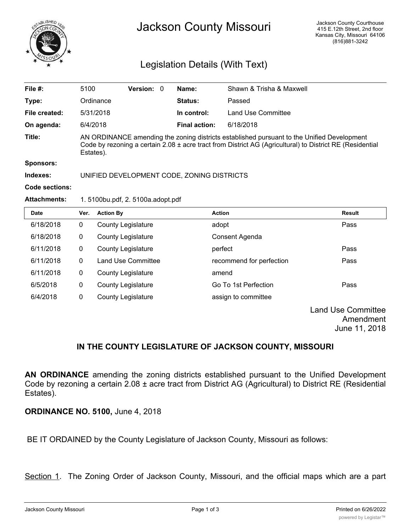

## Jackson County Missouri

## Legislation Details (With Text)

| File $#$ :       | 5100                                                                                                                                                                                                                | <b>Version: 0</b> |  | Name:                | Shawn & Trisha & Maxwell |  |
|------------------|---------------------------------------------------------------------------------------------------------------------------------------------------------------------------------------------------------------------|-------------------|--|----------------------|--------------------------|--|
| Type:            | Ordinance                                                                                                                                                                                                           |                   |  | <b>Status:</b>       | Passed                   |  |
| File created:    | 5/31/2018                                                                                                                                                                                                           |                   |  | In control:          | Land Use Committee       |  |
| On agenda:       | 6/4/2018                                                                                                                                                                                                            |                   |  | <b>Final action:</b> | 6/18/2018                |  |
| Title:           | AN ORDINANCE amending the zoning districts established pursuant to the Unified Development<br>Code by rezoning a certain 2.08 ± acre tract from District AG (Agricultural) to District RE (Residential<br>Estates). |                   |  |                      |                          |  |
| <b>Sponsors:</b> |                                                                                                                                                                                                                     |                   |  |                      |                          |  |
| Indexes:         | UNIFIED DEVELOPMENT CODE. ZONING DISTRICTS                                                                                                                                                                          |                   |  |                      |                          |  |
| Code sections:   |                                                                                                                                                                                                                     |                   |  |                      |                          |  |

## **Attachments:** 1. 5100bu.pdf, 2. 5100a.adopt.pdf

| <b>Date</b> | Ver. | <b>Action By</b>          | <b>Action</b>            | <b>Result</b> |
|-------------|------|---------------------------|--------------------------|---------------|
| 6/18/2018   | 0    | <b>County Legislature</b> | adopt                    | Pass          |
| 6/18/2018   | 0    | <b>County Legislature</b> | Consent Agenda           |               |
| 6/11/2018   | 0    | <b>County Legislature</b> | perfect                  | Pass          |
| 6/11/2018   | 0    | <b>Land Use Committee</b> | recommend for perfection | Pass          |
| 6/11/2018   | 0    | <b>County Legislature</b> | amend                    |               |
| 6/5/2018    | 0    | <b>County Legislature</b> | Go To 1st Perfection     | Pass          |
| 6/4/2018    | 0    | <b>County Legislature</b> | assign to committee      |               |
|             |      |                           |                          |               |

Land Use Committee Amendment June 11, 2018

## **IN THE COUNTY LEGISLATURE OF JACKSON COUNTY, MISSOURI**

**AN ORDINANCE** amending the zoning districts established pursuant to the Unified Development Code by rezoning a certain 2.08 ± acre tract from District AG (Agricultural) to District RE (Residential Estates).

**ORDINANCE NO. 5100,** June 4, 2018

BE IT ORDAINED by the County Legislature of Jackson County, Missouri as follows:

Section 1. The Zoning Order of Jackson County, Missouri, and the official maps which are a part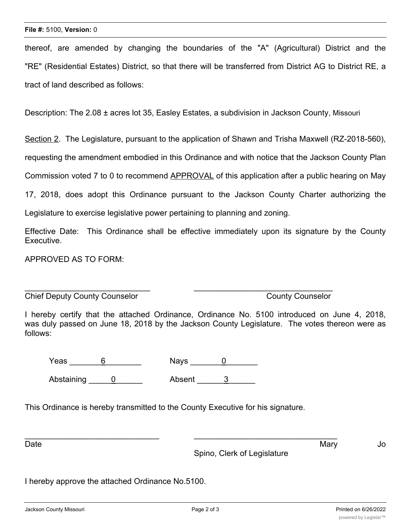thereof, are amended by changing the boundaries of the "A" (Agricultural) District and the "RE" (Residential Estates) District, so that there will be transferred from District AG to District RE, a tract of land described as follows:

Description: The 2.08 ± acres lot 35, Easley Estates, a subdivision in Jackson County, Missouri

Section 2. The Legislature, pursuant to the application of Shawn and Trisha Maxwell (RZ-2018-560),

requesting the amendment embodied in this Ordinance and with notice that the Jackson County Plan

Commission voted 7 to 0 to recommend APPROVAL of this application after a public hearing on May

17, 2018, does adopt this Ordinance pursuant to the Jackson County Charter authorizing the

Legislature to exercise legislative power pertaining to planning and zoning.

Effective Date: This Ordinance shall be effective immediately upon its signature by the County Executive.

APPROVED AS TO FORM:

**Chief Deputy County Counselor County Counselor** County Counselor

I hereby certify that the attached Ordinance, Ordinance No. 5100 introduced on June 4, 2018, was duly passed on June 18, 2018 by the Jackson County Legislature. The votes thereon were as follows:

 $\overline{\phantom{a}}$  , and the contribution of the contribution of the contribution of the contribution of the contribution of the contribution of the contribution of the contribution of the contribution of the contribution of the

 $\text{Yeas} \quad \quad \text{6} \quad \quad \text{Nays} \quad \quad \text{0}$ 

Abstaining 0 absent 3

This Ordinance is hereby transmitted to the County Executive for his signature.

\_\_\_\_\_\_\_\_\_\_\_\_\_\_\_\_\_\_\_\_\_\_\_\_\_\_\_\_\_\_ \_\_\_\_\_\_\_\_\_\_\_\_\_\_\_\_\_\_\_\_\_\_\_\_\_\_\_\_\_\_\_\_

Date and the Mary Section of the Mary Section of the Mary Section of the Mary Section of the Mary Section of the Mary Section of the Mary Section of the Mary Section of the Mary Section of the Mary Section of the Mary Sect

Spino, Clerk of Legislature

I hereby approve the attached Ordinance No.5100.